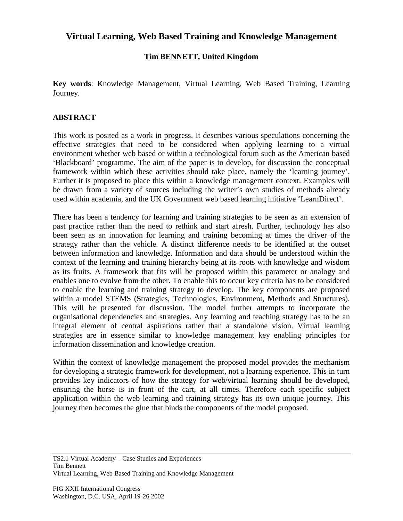## **Virtual Learning, Web Based Training and Knowledge Management**

## **Tim BENNETT, United Kingdom**

**Key words**: Knowledge Management, Virtual Learning, Web Based Training, Learning Journey.

## **ABSTRACT**

This work is posited as a work in progress. It describes various speculations concerning the effective strategies that need to be considered when applying learning to a virtual environment whether web based or within a technological forum such as the American based 'Blackboard' programme. The aim of the paper is to develop, for discussion the conceptual framework within which these activities should take place, namely the 'learning journey'. Further it is proposed to place this within a knowledge management context. Examples will be drawn from a variety of sources including the writer's own studies of methods already used within academia, and the UK Government web based learning initiative 'LearnDirect'.

There has been a tendency for learning and training strategies to be seen as an extension of past practice rather than the need to rethink and start afresh. Further, technology has also been seen as an innovation for learning and training becoming at times the driver of the strategy rather than the vehicle. A distinct difference needs to be identified at the outset between information and knowledge. Information and data should be understood within the context of the learning and training hierarchy being at its roots with knowledge and wisdom as its fruits. A framework that fits will be proposed within this parameter or analogy and enables one to evolve from the other. To enable this to occur key criteria has to be considered to enable the learning and training strategy to develop. The key components are proposed within a model STEMS (**S**trategies, **T**echnologies, **E**nvironment, **M**ethods and **S**tructures). This will be presented for discussion. The model further attempts to incorporate the organisational dependencies and strategies. Any learning and teaching strategy has to be an integral element of central aspirations rather than a standalone vision. Virtual learning strategies are in essence similar to knowledge management key enabling principles for information dissemination and knowledge creation.

Within the context of knowledge management the proposed model provides the mechanism for developing a strategic framework for development, not a learning experience. This in turn provides key indicators of how the strategy for web/virtual learning should be developed, ensuring the horse is in front of the cart, at all times. Therefore each specific subject application within the web learning and training strategy has its own unique journey. This journey then becomes the glue that binds the components of the model proposed.